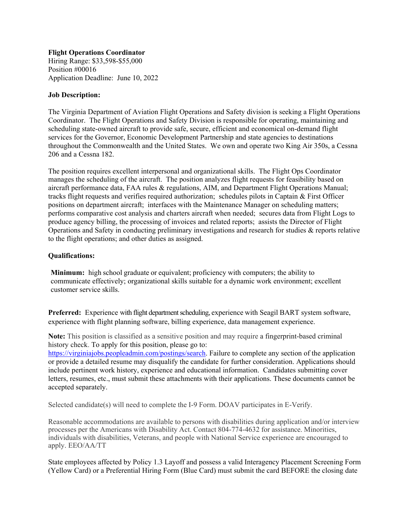**Flight Operations Coordinator**  Hiring Range: \$33,598-\$55,000 Position #00016

Application Deadline: June 10, 2022

## **Job Description:**

The Virginia Department of Aviation Flight Operations and Safety division is seeking a Flight Operations Coordinator. The Flight Operations and Safety Division is responsible for operating, maintaining and scheduling state-owned aircraft to provide safe, secure, efficient and economical on-demand flight services for the Governor, Economic Development Partnership and state agencies to destinations throughout the Commonwealth and the United States. We own and operate two King Air 350s, a Cessna 206 and a Cessna 182.

The position requires excellent interpersonal and organizational skills. The Flight Ops Coordinator manages the scheduling of the aircraft. The position analyzes flight requests for feasibility based on aircraft performance data, FAA rules & regulations, AIM, and Department Flight Operations Manual; tracks flight requests and verifies required authorization; schedules pilots in Captain & First Officer positions on department aircraft; interfaces with the Maintenance Manager on scheduling matters; performs comparative cost analysis and charters aircraft when needed; secures data from Flight Logs to produce agency billing, the processing of invoices and related reports; assists the Director of Flight Operations and Safety in conducting preliminary investigations and research for studies & reports relative to the flight operations; and other duties as assigned.

## **Qualifications:**

**Minimum:** high school graduate or equivalent; proficiency with computers; the ability to communicate effectively; organizational skills suitable for a dynamic work environment; excellent customer service skills.

**Preferred:** Experience with flight department scheduling, experience with Seagil BART system software, experience with flight planning software, billing experience, data management experience.

**Note:** This position is classified as a sensitive position and may require a fingerprint-based criminal history check. To apply for this position, please go to:

https://virginiajobs.peopleadmin.com/postings/search. Failure to complete any section of the application or provide a detailed resume may disqualify the candidate for further consideration. Applications should include pertinent work history, experience and educational information. Candidates submitting cover letters, resumes, etc., must submit these attachments with their applications. These documents cannot be accepted separately.

Selected candidate(s) will need to complete the I-9 Form. DOAV participates in E-Verify.

Reasonable accommodations are available to persons with disabilities during application and/or interview processes per the Americans with Disability Act. Contact 804-774-4632 for assistance. Minorities, individuals with disabilities, Veterans, and people with National Service experience are encouraged to apply. EEO/AA/TT

State employees affected by Policy 1.3 Layoff and possess a valid Interagency Placement Screening Form (Yellow Card) or a Preferential Hiring Form (Blue Card) must submit the card BEFORE the closing date